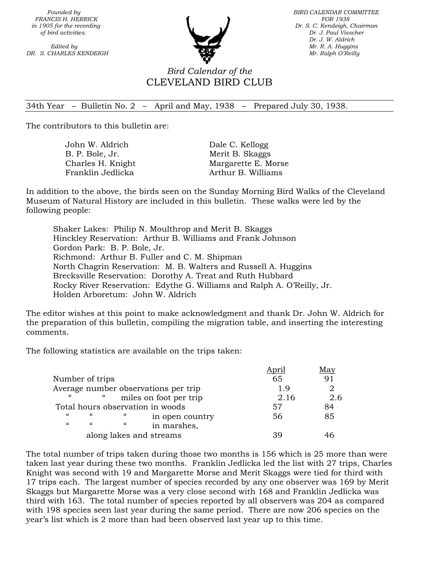**FRANCIS H. HERRICK FOR 1938 for 1938** 

**DR. S. CHARLES KENDEIGH Mr. Ralph O'Reilly Mr. Ralph O'Reilly Mr. Ralph O'Reilly** 



 *Founded by BIRD CALENDAR COMMITTEE in 1905 for the recording* Dr. S. C. Kendeigh, Chairman *of bird activities.* Dr. J. Paul Visscher **bird activities** Dr. J. Paul Visscher *Dr. J. Paul Visscher Dr. J. W. Aldrich Edited by Mr. R. A. Huggins Mr. R. A. Huggins* 

## *Bird Calendar of the*  CLEVELAND BIRD CLUB

## 34th Year – Bulletin No. 2 – April and May, 1938 – Prepared July 30, 1938.

The contributors to this bulletin are:

Dale C. Kellogg Merit B. Skaggs Margarette E. Morse Arthur B. Williams

In addition to the above, the birds seen on the Sunday Morning Bird Walks of the Cleveland Museum of Natural History are included in this bulletin. These walks were led by the following people:

Shaker Lakes: Philip N. Moulthrop and Merit B. Skaggs Hinckley Reservation: Arthur B. Williams and Frank Johnson Gordon Park: B. P. Bole, Jr. Richmond: Arthur B. Fuller and C. M. Shipman North Chagrin Reservation: M. B. Walters and Russell A. Huggins Brecksville Reservation: Dorothy A. Treat and Ruth Hubbard Rocky River Reservation: Edythe G. Williams and Ralph A. O'Reilly, Jr. Holden Arboretum: John W. Aldrich

The editor wishes at this point to make acknowledgment and thank Dr. John W. Aldrich for the preparation of this bulletin, compiling the migration table, and inserting the interesting comments.

The following statistics are available on the trips taken:

|                         |          |            |                                      | prii | Мау |
|-------------------------|----------|------------|--------------------------------------|------|-----|
| Number of trips         |          |            |                                      | 65   |     |
|                         |          |            | Average number observations per trip | 1.9  |     |
| "                       |          |            | miles on foot per trip               | 2.16 | 2.6 |
|                         |          |            | Total hours observation in woods     | 57   | 84  |
| $\epsilon$              | $\alpha$ | "          | in open country                      | 56   | 85  |
| $\epsilon\epsilon$      | $\alpha$ | $\epsilon$ | in marshes,                          |      |     |
| along lakes and streams |          |            |                                      | 39   |     |
|                         |          |            |                                      |      |     |

The total number of trips taken during those two months is 156 which is 25 more than were taken last year during these two months. Franklin Jedlicka led the list with 27 trips, Charles Knight was second with 19 and Margarette Morse and Merit Skaggs were tied for third with 17 trips each. The largest number of species recorded by any one observer was 169 by Merit Skaggs but Margarette Morse was a very close second with 168 and Franklin Jedlicka was third with 163. The total number of species reported by all observers was 204 as compared with 198 species seen last year during the same period. There are now 206 species on the year's list which is 2 more than had been observed last year up to this time.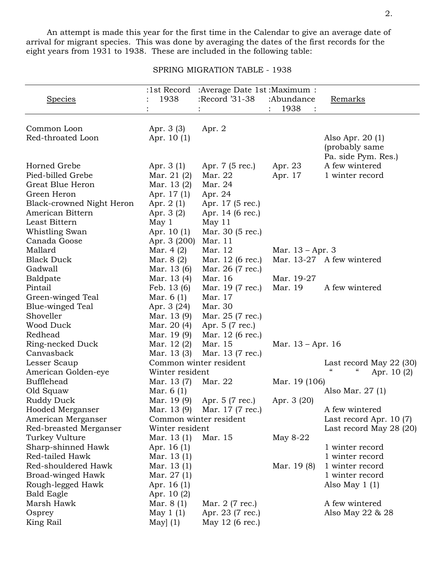An attempt is made this year for the first time in the Calendar to give an average date of arrival for migrant species. This was done by averaging the dates of the first records for the eight years from 1931 to 1938. These are included in the following table:

SPRING MIGRATION TABLE - 1938

|                           |                 | :1st Record :Average Date 1st :Maximum : |                    |                                       |
|---------------------------|-----------------|------------------------------------------|--------------------|---------------------------------------|
| <b>Species</b>            | 1938            | :Record '31-38                           | :Abundance         | Remarks                               |
|                           |                 |                                          | 1938               |                                       |
|                           |                 |                                          |                    |                                       |
| Common Loon               | Apr. 3 (3)      | Apr. 2                                   |                    |                                       |
| Red-throated Loon         | Apr. 10 (1)     |                                          |                    | Also Apr. $20(1)$                     |
|                           |                 |                                          |                    | (probably same                        |
|                           |                 |                                          |                    |                                       |
| Horned Grebe              |                 |                                          |                    | Pa. side Pym. Res.)<br>A few wintered |
|                           | Apr. $3(1)$     | Apr. 7 (5 rec.)                          | Apr. 23            |                                       |
| Pied-billed Grebe         | Mar. 21 (2)     | Mar. 22                                  | Apr. 17            | 1 winter record                       |
| Great Blue Heron          | Mar. 13 (2)     | Mar. 24                                  |                    |                                       |
| Green Heron               | Apr. 17(1)      | Apr. 24                                  |                    |                                       |
| Black-crowned Night Heron | Apr. $2(1)$     | Apr. 17 (5 rec.)                         |                    |                                       |
| American Bittern          | Apr. 3 (2)      | Apr. 14 (6 rec.)                         |                    |                                       |
| Least Bittern             | May 1           | May $11$                                 |                    |                                       |
| Whistling Swan            | Apr. 10 (1)     | Mar. 30 (5 rec.)                         |                    |                                       |
| Canada Goose              | Apr. 3 (200)    | Mar. 11                                  |                    |                                       |
| Mallard                   | Mar. $4(2)$     | Mar. 12                                  | Mar. $13 - Apr. 3$ |                                       |
| <b>Black Duck</b>         | Mar. 8 (2)      | Mar. 12 (6 rec.)                         |                    | Mar. 13-27 A few wintered             |
| Gadwall                   | Mar. 13 (6)     | Mar. 26 (7 rec.)                         |                    |                                       |
| Baldpate                  | Mar. 13 (4)     | Mar. 16                                  | Mar. 19-27         |                                       |
| Pintail                   | Feb. 13 (6)     | Mar. 19 (7 rec.)                         | Mar. 19            | A few wintered                        |
| Green-winged Teal         | Mar. $6(1)$     | Mar. 17                                  |                    |                                       |
| Blue-winged Teal          | Apr. 3 (24)     | Mar. 30                                  |                    |                                       |
| Shoveller                 | Mar. 13 (9)     | Mar. 25 (7 rec.)                         |                    |                                       |
| Wood Duck                 | Mar. 20 (4)     | Apr. 5 (7 rec.)                          |                    |                                       |
| Redhead                   | Mar. 19 (9)     | Mar. 12 (6 rec.)                         |                    |                                       |
| Ring-necked Duck          | Mar. 12 (2)     | Mar. 15                                  | Mar. 13 – Apr. 16  |                                       |
| Canvasback                | Mar. 13 (3)     | Mar. 13 (7 rec.)                         |                    |                                       |
| Lesser Scaup              |                 | Common winter resident                   |                    | Last record May 22 (30)               |
| American Golden-eye       | Winter resident |                                          |                    | $\epsilon$<br>Apr. 10(2)              |
| <b>Bufflehead</b>         | Mar. 13 (7)     | Mar. 22                                  | Mar. 19 (106)      |                                       |
| Old Squaw                 | Mar. $6(1)$     |                                          |                    | Also Mar. 27 (1)                      |
| Ruddy Duck                | Mar. 19 (9)     | Apr. 5 (7 rec.)                          | Apr. 3 (20)        |                                       |
| Hooded Merganser          | Mar. 13 (9)     | Mar. 17 (7 rec.)                         |                    | A few wintered                        |
| American Merganser        |                 | Common winter resident                   |                    | Last record Apr. $10(7)$              |
| Red-breasted Merganser    | Winter resident |                                          |                    | Last record May 28 $(20)$             |
| Turkey Vulture            | Mar. $13(1)$    | Mar. 15                                  | May $8-22$         |                                       |
| Sharp-shinned Hawk        | Apr. 16 (1)     |                                          |                    | 1 winter record                       |
| Red-tailed Hawk           | Mar. 13 (1)     |                                          |                    | 1 winter record                       |
| Red-shouldered Hawk       | Mar. 13 (1)     |                                          | Mar. 19 (8)        | 1 winter record                       |
| Broad-winged Hawk         | Mar. $27(1)$    |                                          |                    | 1 winter record                       |
| Rough-legged Hawk         | Apr. 16(1)      |                                          |                    | Also May $1(1)$                       |
| <b>Bald Eagle</b>         | Apr. 10(2)      |                                          |                    |                                       |
| Marsh Hawk                | Mar. $8(1)$     | Mar. 2 (7 rec.)                          |                    | A few wintered                        |
| Osprey                    | May $1(1)$      | Apr. 23 (7 rec.)                         |                    | Also May 22 & 28                      |
| King Rail                 | May $(1)$       | May 12 (6 rec.)                          |                    |                                       |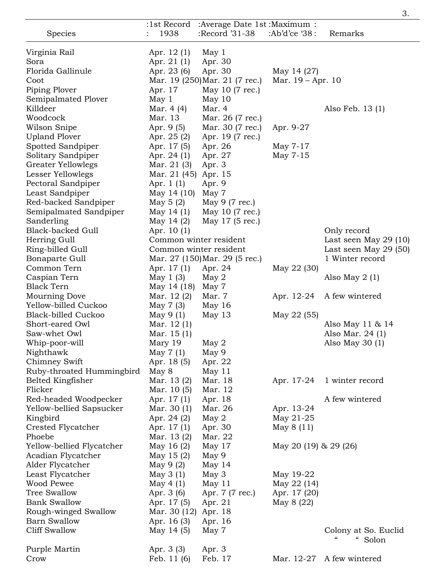|                                        |                                       |                                |                       | 3.                                         |
|----------------------------------------|---------------------------------------|--------------------------------|-----------------------|--------------------------------------------|
|                                        | :1st Record                           | : Average Date 1st: Maximum:   |                       |                                            |
| Species                                | 1938                                  | :Record '31-38                 | :Ab'd'ce '38:         | Remarks                                    |
| Virginia Rail                          | Apr. 12 (1)                           | May <sub>1</sub>               |                       |                                            |
| Sora                                   | Apr. $21(1)$                          | Apr. 30                        |                       |                                            |
| Florida Gallinule                      | Apr. 23 (6)                           | Apr. 30                        | May 14 (27)           |                                            |
| Coot                                   |                                       | Mar. 19 (250) Mar. 21 (7 rec.) | Mar. $19 - Apr. 10$   |                                            |
| Piping Plover                          | Apr. 17                               | May 10 (7 rec.)                |                       |                                            |
| Semipalmated Plover                    | May <sub>1</sub>                      | May $10$                       |                       |                                            |
| Killdeer                               | Mar. 4 (4)                            | Mar. 4                         |                       | Also Feb. 13 (1)                           |
| Woodcock                               | Mar. 13                               | Mar. 26 (7 rec.)               |                       |                                            |
| Wilson Snipe                           | Apr. 9 (5)                            | Mar. 30 (7 rec.)               | Apr. 9-27             |                                            |
| <b>Upland Plover</b>                   | Apr. 25 (2)                           | Apr. 19 (7 rec.)               |                       |                                            |
| Spotted Sandpiper                      | Apr. 17 (5)                           | Apr. 26                        | May 7-17              |                                            |
| Solitary Sandpiper                     | Apr. $24(1)$                          | Apr. 27                        | May 7-15              |                                            |
| Greater Yellowlegs                     | Mar. 21 (3)                           | Apr. 3                         |                       |                                            |
| Lesser Yellowlegs                      | Mar. 21 (45) Apr. 15                  |                                |                       |                                            |
| Pectoral Sandpiper                     | Apr. $1(1)$                           | Apr. 9                         |                       |                                            |
| Least Sandpiper                        | May 14 (10)                           | May 7                          |                       |                                            |
| Red-backed Sandpiper                   | May $5(2)$                            | May 9 (7 rec.)                 |                       |                                            |
| Semipalmated Sandpiper                 | May 14 $(1)$                          | May 10 (7 rec.)                |                       |                                            |
| Sanderling<br><b>Black-backed Gull</b> | May 14 $(2)$                          | May 17 (5 rec.)                |                       | Only record                                |
| Herring Gull                           | Apr. 10 (1)<br>Common winter resident |                                |                       | Last seen May $29(10)$                     |
| Ring-billed Gull                       | Common winter resident                |                                |                       | Last seen May $29(50)$                     |
| Bonaparte Gull                         |                                       | Mar. 27 (150) Mar. 29 (5 rec.) |                       | 1 Winter record                            |
| Common Tern                            | Apr. 17 (1)                           | Apr. 24                        | May 22 (30)           |                                            |
| Caspian Tern                           | May $1(3)$                            | May $2$                        |                       | Also May $2(1)$                            |
| <b>Black Tern</b>                      | May 14 (18)                           | May 7                          |                       |                                            |
| Mourning Dove                          | Mar. 12 (2)                           | Mar. 7                         | Apr. 12-24            | A few wintered                             |
| Yellow-billed Cuckoo                   | May $7(3)$                            | May $16$                       |                       |                                            |
| <b>Black-billed Cuckoo</b>             | May $9(1)$                            | May 13                         | May 22 (55)           |                                            |
| Short-eared Owl                        | Mar. 12(1)                            |                                |                       | Also May 11 & 14                           |
| Saw-whet Owl                           | Mar. 15 (1)                           |                                |                       | Also Mar. 24 (1)                           |
| Whip-poor-will                         | Mary 19                               | May $2$                        |                       | Also May $30(1)$                           |
| Nighthawk                              | May $7(1)$                            | May 9                          |                       |                                            |
| Chimney Swift                          | Apr. 18 (5)                           | Apr. 22                        |                       |                                            |
| Ruby-throated Hummingbird              | May 8                                 | May 11                         |                       |                                            |
| Belted Kingfisher                      | Mar. 13 (2)                           | Mar. 18                        | Apr. 17-24            | 1 winter record                            |
| Flicker                                | Mar. 10 (5)                           | Mar. 12                        |                       |                                            |
| Red-headed Woodpecker                  | Apr. 17 (1)                           | Apr. 18                        |                       | A few wintered                             |
| Yellow-bellied Sapsucker               | Mar. 30 (1)                           | Mar. 26                        | Apr. 13-24            |                                            |
| Kingbird                               | Apr. 24 (2)                           | May 2                          | May 21-25             |                                            |
| Crested Flycatcher                     | Apr. 17 (1)                           | Apr. 30                        | May 8 (11)            |                                            |
| Phoebe                                 | Mar. 13 (2)                           | Mar. 22                        |                       |                                            |
| Yellow-bellied Flycatcher              | May 16 (2)                            | May 17                         | May 20 (19) & 29 (26) |                                            |
| Acadian Flycatcher                     | May $15(2)$                           | May 9                          |                       |                                            |
| Alder Flycatcher                       | May $9(2)$                            | May $14$                       |                       |                                            |
| Least Flycatcher                       | May $3(1)$                            | May <sub>3</sub>               | May 19-22             |                                            |
| Wood Pewee                             | May $4(1)$                            | May 11                         | May 22 (14)           |                                            |
| <b>Tree Swallow</b>                    | Apr. 3 (6)                            | Apr. 7 (7 rec.)                | Apr. 17 (20)          |                                            |
| <b>Bank Swallow</b>                    | Apr. 17 (5)                           | Apr. 21                        | May 8 (22)            |                                            |
| Rough-winged Swallow                   | Mar. 30 (12)                          | Apr. 18                        |                       |                                            |
| <b>Barn Swallow</b>                    | Apr. 16 (3)                           | Apr. 16                        |                       |                                            |
| <b>Cliff Swallow</b>                   | May 14 (5)                            | May 7                          |                       | Colony at So. Euclid<br>$\epsilon\epsilon$ |
|                                        |                                       |                                |                       | Solon                                      |
| Purple Martin<br>Crow                  | Apr. 3 (3)<br>Feb. $11(6)$            | Apr. 3<br>Feb. 17              | Mar. 12-27            | A few wintered                             |
|                                        |                                       |                                |                       |                                            |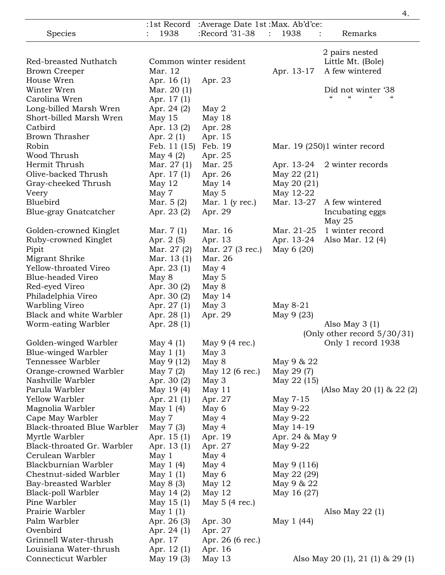|                                    |                  |                                  |                 | 4.                                             |
|------------------------------------|------------------|----------------------------------|-----------------|------------------------------------------------|
|                                    | :1st Record      | :Average Date 1st: Max. Ab'd'ce: |                 |                                                |
| Species                            | 1938             | :Record '31-38                   | 1938<br>÷       | Remarks                                        |
|                                    |                  |                                  |                 |                                                |
|                                    |                  |                                  |                 | 2 pairs nested                                 |
| Red-breasted Nuthatch              |                  | Common winter resident           |                 | Little Mt. (Bole)                              |
| <b>Brown Creeper</b>               | Mar. 12          |                                  | Apr. 13-17      | A few wintered                                 |
| House Wren                         | Apr. 16(1)       | Apr. 23                          |                 |                                                |
| Winter Wren                        | Mar. 20 (1)      |                                  |                 | Did not winter '38<br>$\epsilon$<br>$\epsilon$ |
| Carolina Wren                      | Apr. 17 (1)      |                                  |                 |                                                |
| Long-billed Marsh Wren             | Apr. 24 (2)      | May $2$                          |                 |                                                |
| Short-billed Marsh Wren            | May $15$         | May 18                           |                 |                                                |
| Catbird                            | Apr. 13(2)       | Apr. 28                          |                 |                                                |
| <b>Brown Thrasher</b>              | Apr. $2(1)$      | Apr. 15                          |                 |                                                |
| Robin                              | Feb. 11 (15)     | Feb. 19                          |                 | Mar. $19(250)1$ winter record                  |
| Wood Thrush                        | May 4 $(2)$      | Apr. 25                          |                 |                                                |
| Hermit Thrush                      | Mar. $27(1)$     | Mar. 25                          | Apr. 13-24      | 2 winter records                               |
| Olive-backed Thrush                | Apr. 17 (1)      | Apr. 26                          | May 22 (21)     |                                                |
| Gray-cheeked Thrush                | May $12$         | May 14                           | May 20 (21)     |                                                |
| Veery                              | May 7            | May 5                            | May 12-22       |                                                |
| Bluebird                           | Mar. $5(2)$      | Mar. $1$ (y rec.)                | Mar. 13-27      | A few wintered                                 |
| Blue-gray Gnatcatcher              | Apr. 23 (2)      | Apr. 29                          |                 | Incubating eggs                                |
|                                    |                  |                                  |                 | May $25$                                       |
| Golden-crowned Kinglet             | Mar. $7(1)$      | Mar. 16                          | Mar. 21-25      | 1 winter record                                |
| Ruby-crowned Kinglet               | Apr. 2 (5)       | Apr. 13                          | Apr. 13-24      | Also Mar. 12 (4)                               |
| Pipit                              | Mar. 27 (2)      | Mar. 27 (3 rec.)                 | May $6(20)$     |                                                |
| Migrant Shrike                     | Mar. 13 (1)      | Mar. 26                          |                 |                                                |
| Yellow-throated Vireo              | Apr. 23 (1)      | May 4                            |                 |                                                |
| <b>Blue-headed Vireo</b>           | May 8            | May 5                            |                 |                                                |
| Red-eyed Vireo                     | Apr. 30 (2)      | May 8                            |                 |                                                |
| Philadelphia Vireo                 | Apr. 30 (2)      | May 14                           |                 |                                                |
| Warbling Vireo                     | Apr. 27 (1)      | May 3                            | May 8-21        |                                                |
| Black and white Warbler            | Apr. 28 (1)      | Apr. 29                          | May 9 (23)      |                                                |
| Worm-eating Warbler                | Apr. 28 (1)      |                                  |                 | Also May $3(1)$                                |
|                                    |                  |                                  |                 | (Only other record $5/30/31$ )                 |
| Golden-winged Warbler              | May 4 $(1)$      | May $9(4 \text{ rec.})$          |                 | Only 1 record 1938                             |
| Blue-winged Warbler                | May $1(1)$       | May $3$                          |                 |                                                |
| Tennessee Warbler                  | May 9 (12)       | May 8                            | May 9 & 22      |                                                |
| Orange-crowned Warbler             | May 7 (2)        | May 12 (6 rec.)                  | May 29 (7)      |                                                |
| Nashville Warbler                  | Apr. 30 (2)      |                                  |                 |                                                |
| Parula Warbler                     |                  | May 3                            | May 22 (15)     |                                                |
| Yellow Warbler                     | May 19 (4)       | May $11$                         | May 7-15        | (Also May 20 (1) & 22 (2)                      |
|                                    | Apr. $21(1)$     | Apr. 27                          |                 |                                                |
| Magnolia Warbler                   | May $1(4)$       | May 6                            | May 9-22        |                                                |
| Cape May Warbler                   | May 7            | May 4                            | May 9-22        |                                                |
| <b>Black-throated Blue Warbler</b> | May 7 (3)        | May 4                            | May 14-19       |                                                |
| Myrtle Warbler                     | Apr. 15(1)       | Apr. 19                          | Apr. 24 & May 9 |                                                |
| Black-throated Gr. Warbler         | Apr. 13 (1)      | Apr. 27                          | May 9-22        |                                                |
| Cerulean Warbler                   | May <sub>1</sub> | May 4                            |                 |                                                |
| Blackburnian Warbler               | May $1(4)$       | May 4                            | May 9 (116)     |                                                |
| Chestnut-sided Warbler             | May $1(1)$       | May 6                            | May 22 (29)     |                                                |
| Bay-breasted Warbler               | May $8(3)$       | May $12$                         | May 9 & 22      |                                                |
| Black-poll Warbler                 | May 14 $(2)$     | May $12$                         | May 16 (27)     |                                                |
| Pine Warbler                       | May $15(1)$      | May $5(4 \text{ rec.})$          |                 |                                                |
| Prairie Warbler                    | May $1(1)$       |                                  |                 | Also May $22(1)$                               |
| Palm Warbler                       | Apr. 26 (3)      | Apr. 30                          | May 1 (44)      |                                                |
| Ovenbird                           | Apr. 24 (1)      | Apr. 27                          |                 |                                                |
| Grinnell Water-thrush              | Apr. 17          | Apr. 26 (6 rec.)                 |                 |                                                |
| Louisiana Water-thrush             | Apr. 12 (1)      | Apr. 16                          |                 |                                                |
| Connecticut Warbler                | May 19 (3)       | May $13$                         |                 | Also May 20 (1), 21 (1) & 29 (1)               |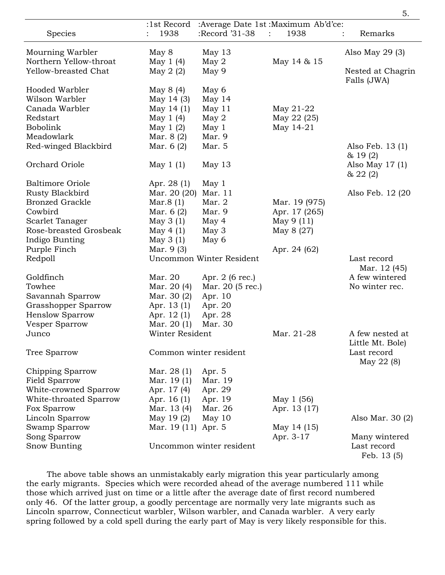|                         | :1st Record         |                          | :Average Date 1st: Maximum Ab'd'ce: |                   |
|-------------------------|---------------------|--------------------------|-------------------------------------|-------------------|
| Species                 | 1938                | :Record '31-38           | $\mathbb{R}^{n+1}$<br>1938          | Remarks           |
| Mourning Warbler        | May 8               | May 13                   |                                     | Also May $29(3)$  |
| Northern Yellow-throat  | May 1 (4)           | May 2                    | May 14 & 15                         |                   |
| Yellow-breasted Chat    | May $2(2)$          | May 9                    |                                     | Nested at Chagrin |
|                         |                     |                          |                                     | Falls (JWA)       |
| Hooded Warbler          | May 8 (4)           | May 6                    |                                     |                   |
| Wilson Warbler          | May 14 (3)          | May $14$                 |                                     |                   |
| Canada Warbler          | May 14 (1)          | May $11$                 | May 21-22                           |                   |
| Redstart                | May $1(4)$          | May 2                    | May 22 (25)                         |                   |
| Bobolink                | May $1(2)$          | May <sub>1</sub>         | May 14-21                           |                   |
| Meadowlark              | Mar. 8 (2)          | Mar. 9                   |                                     |                   |
| Red-winged Blackbird    | Mar. $6(2)$         | Mar. 5                   |                                     | Also Feb. 13 (1)  |
|                         |                     |                          |                                     | & 19(2)           |
| Orchard Oriole          | May $1(1)$          | May $13$                 |                                     | Also May $17(1)$  |
|                         |                     |                          |                                     | & 22(2)           |
| <b>Baltimore Oriole</b> | Apr. 28 (1)         | May 1                    |                                     |                   |
| Rusty Blackbird         | Mar. 20 (20)        | Mar. 11                  |                                     | Also Feb. 12 (20) |
| <b>Bronzed Grackle</b>  | Mar. $8(1)$         | Mar. 2                   | Mar. 19 (975)                       |                   |
| Cowbird                 | Mar. $6(2)$         | Mar. 9                   | Apr. 17 (265)                       |                   |
| Scarlet Tanager         | May $3(1)$          | May 4                    | May 9 (11)                          |                   |
| Rose-breasted Grosbeak  | May $4(1)$          | May 3                    | May 8 (27)                          |                   |
| Indigo Bunting          | May 3 (1)           | May 6                    |                                     |                   |
| Purple Finch            | Mar. 9 (3)          |                          | Apr. 24 (62)                        |                   |
| Redpoll                 |                     | Uncommon Winter Resident |                                     | Last record       |
|                         |                     |                          |                                     | Mar. 12 (45)      |
| Goldfinch               | Mar. 20             | Apr. 2 (6 rec.)          |                                     | A few wintered    |
| Towhee                  | Mar. 20 (4)         | Mar. 20 (5 rec.)         |                                     | No winter rec.    |
| Savannah Sparrow        | Mar. 30 (2)         | Apr. 10                  |                                     |                   |
| Grasshopper Sparrow     | Apr. 13 (1)         | Apr. 20                  |                                     |                   |
| <b>Henslow Sparrow</b>  | Apr. 12 (1)         | Apr. 28                  |                                     |                   |
| Vesper Sparrow          | Mar. $20(1)$        | Mar. 30                  |                                     |                   |
| Junco                   | Winter Resident     |                          | Mar. 21-28                          | A few nested at   |
|                         |                     |                          |                                     | Little Mt. Bole)  |
| Tree Sparrow            |                     | Common winter resident   |                                     | Last record       |
|                         |                     |                          |                                     | May 22 (8)        |
| Chipping Sparrow        | Mar. 28 (1)         | Apr. 5                   |                                     |                   |
| Field Sparrow           | Mar. 19(1)          | Mar. 19                  |                                     |                   |
| White-crowned Sparrow   | Apr. 17 (4)         | Apr. 29                  |                                     |                   |
| White-throated Sparrow  | Apr. $16(1)$        | Apr. 19                  | May 1 (56)                          |                   |
| Fox Sparrow             | Mar. 13 (4)         | Mar. 26                  | Apr. 13 (17)                        |                   |
| Lincoln Sparrow         | May 19 (2)          | May $10$                 |                                     | Also Mar. 30 (2)  |
| Swamp Sparrow           | Mar. 19 (11) Apr. 5 |                          | May 14 (15)                         |                   |
| Song Sparrow            |                     |                          | Apr. 3-17                           | Many wintered     |
| Snow Bunting            |                     | Uncommon winter resident |                                     | Last record       |
|                         |                     |                          |                                     | Feb. 13 (5)       |

The above table shows an unmistakably early migration this year particularly among the early migrants. Species which were recorded ahead of the average numbered 111 while those which arrived just on time or a little after the average date of first record numbered only 46. Of the latter group, a goodly percentage are normally very late migrants such as Lincoln sparrow, Connecticut warbler, Wilson warbler, and Canada warbler. A very early spring followed by a cold spell during the early part of May is very likely responsible for this.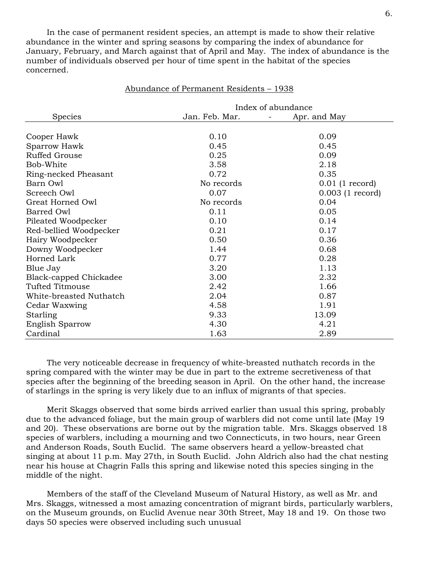In the case of permanent resident species, an attempt is made to show their relative abundance in the winter and spring seasons by comparing the index of abundance for January, February, and March against that of April and May. The index of abundance is the number of individuals observed per hour of time spent in the habitat of the species concerned.

|                         | Index of abundance |                    |  |
|-------------------------|--------------------|--------------------|--|
| <b>Species</b>          | Jan. Feb. Mar.     | Apr. and May       |  |
|                         |                    |                    |  |
| Cooper Hawk             | 0.10               | 0.09               |  |
| Sparrow Hawk            | 0.45               | 0.45               |  |
| Ruffed Grouse           | 0.25               | 0.09               |  |
| Bob-White               | 3.58               | 2.18               |  |
| Ring-necked Pheasant    | 0.72               | 0.35               |  |
| Barn Owl                | No records         | $0.01$ (1 record)  |  |
| Screech Owl             | 0.07               | $0.003$ (1 record) |  |
| Great Horned Owl        | No records         | 0.04               |  |
| Barred Owl              | 0.11               | 0.05               |  |
| Pileated Woodpecker     | 0.10               | 0.14               |  |
| Red-bellied Woodpecker  | 0.21               | 0.17               |  |
| Hairy Woodpecker        | 0.50               | 0.36               |  |
| Downy Woodpecker        | 1.44               | 0.68               |  |
| Horned Lark             | 0.77               | 0.28               |  |
| Blue Jay                | 3.20               | 1.13               |  |
| Black-capped Chickadee  | 3.00               | 2.32               |  |
| Tufted Titmouse         | 2.42               | 1.66               |  |
| White-breasted Nuthatch | 2.04               | 0.87               |  |
| Cedar Waxwing           | 4.58               | 1.91               |  |
| Starling                | 9.33               | 13.09              |  |
| <b>English Sparrow</b>  | 4.30               | 4.21               |  |
| Cardinal                | 1.63               | 2.89               |  |

## Abundance of Permanent Residents – 1938

The very noticeable decrease in frequency of white-breasted nuthatch records in the spring compared with the winter may be due in part to the extreme secretiveness of that species after the beginning of the breeding season in April. On the other hand, the increase of starlings in the spring is very likely due to an influx of migrants of that species.

Merit Skaggs observed that some birds arrived earlier than usual this spring, probably due to the advanced foliage, but the main group of warblers did not come until late (May 19 and 20). These observations are borne out by the migration table. Mrs. Skaggs observed 18 species of warblers, including a mourning and two Connecticuts, in two hours, near Green and Anderson Roads, South Euclid. The same observers heard a yellow-breasted chat singing at about 11 p.m. May 27th, in South Euclid. John Aldrich also had the chat nesting near his house at Chagrin Falls this spring and likewise noted this species singing in the middle of the night.

Members of the staff of the Cleveland Museum of Natural History, as well as Mr. and Mrs. Skaggs, witnessed a most amazing concentration of migrant birds, particularly warblers, on the Museum grounds, on Euclid Avenue near 30th Street, May 18 and 19. On those two days 50 species were observed including such unusual